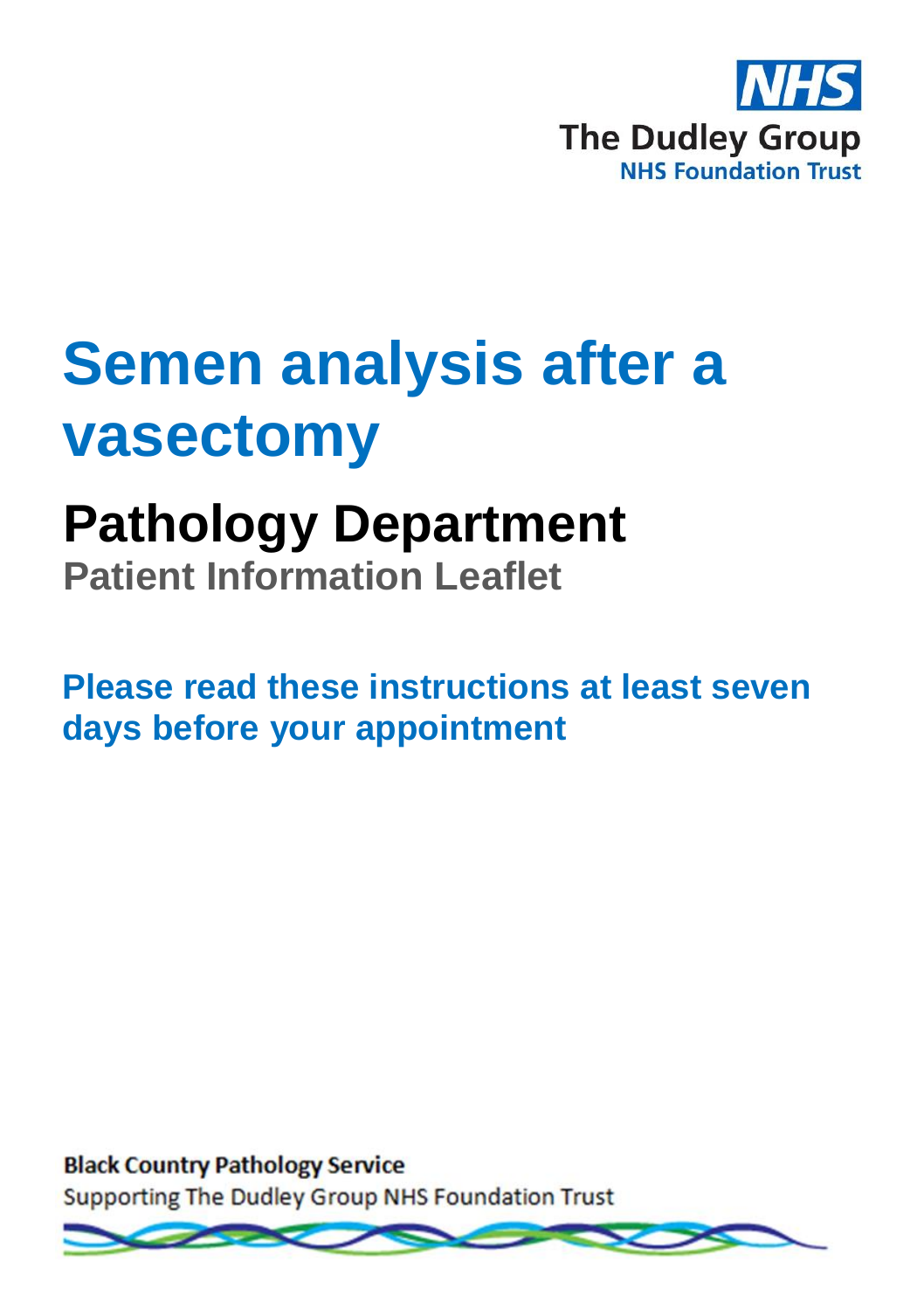

# **Semen analysis after a vasectomy**

## **Pathology Department**

**Patient Information Leaflet**

**Please read these instructions at least seven days before your appointment**

**Black Country Pathology Service** Supporting The Dudley Group NHS Foundation Trust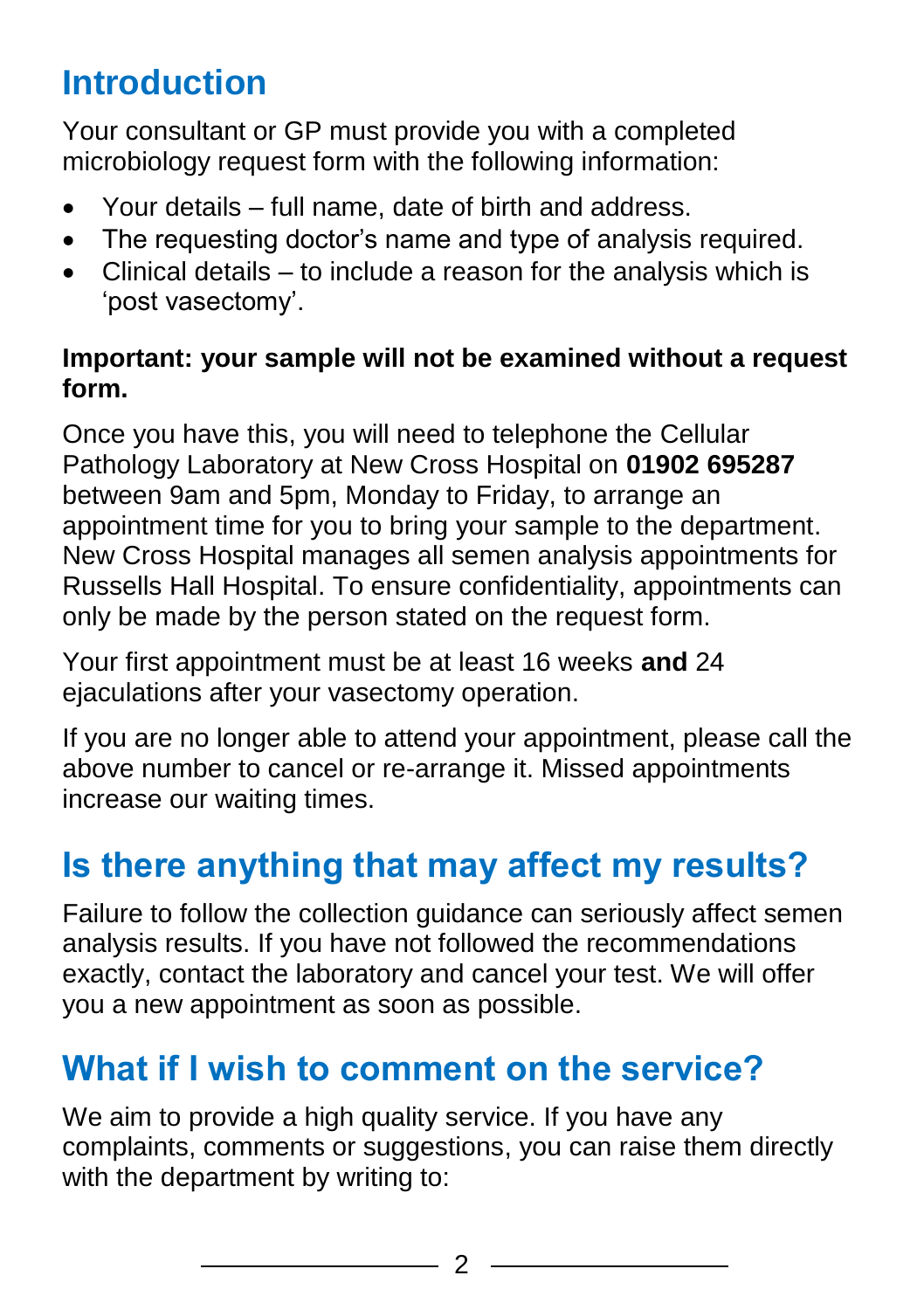## **Introduction**

Your consultant or GP must provide you with a completed microbiology request form with the following information:

- Your details full name, date of birth and address.
- The requesting doctor's name and type of analysis required.
- Clinical details to include a reason for the analysis which is 'post vasectomy'.

#### **Important: your sample will not be examined without a request form.**

Once you have this, you will need to telephone the Cellular Pathology Laboratory at New Cross Hospital on **01902 695287** between 9am and 5pm, Monday to Friday, to arrange an appointment time for you to bring your sample to the department. New Cross Hospital manages all semen analysis appointments for Russells Hall Hospital. To ensure confidentiality, appointments can only be made by the person stated on the request form.

Your first appointment must be at least 16 weeks **and** 24 ejaculations after your vasectomy operation.

If you are no longer able to attend your appointment, please call the above number to cancel or re-arrange it. Missed appointments increase our waiting times.

## **Is there anything that may affect my results?**

Failure to follow the collection guidance can seriously affect semen analysis results. If you have not followed the recommendations exactly, contact the laboratory and cancel your test. We will offer you a new appointment as soon as possible.

## **What if I wish to comment on the service?**

We aim to provide a high quality service. If you have any complaints, comments or suggestions, you can raise them directly with the department by writing to: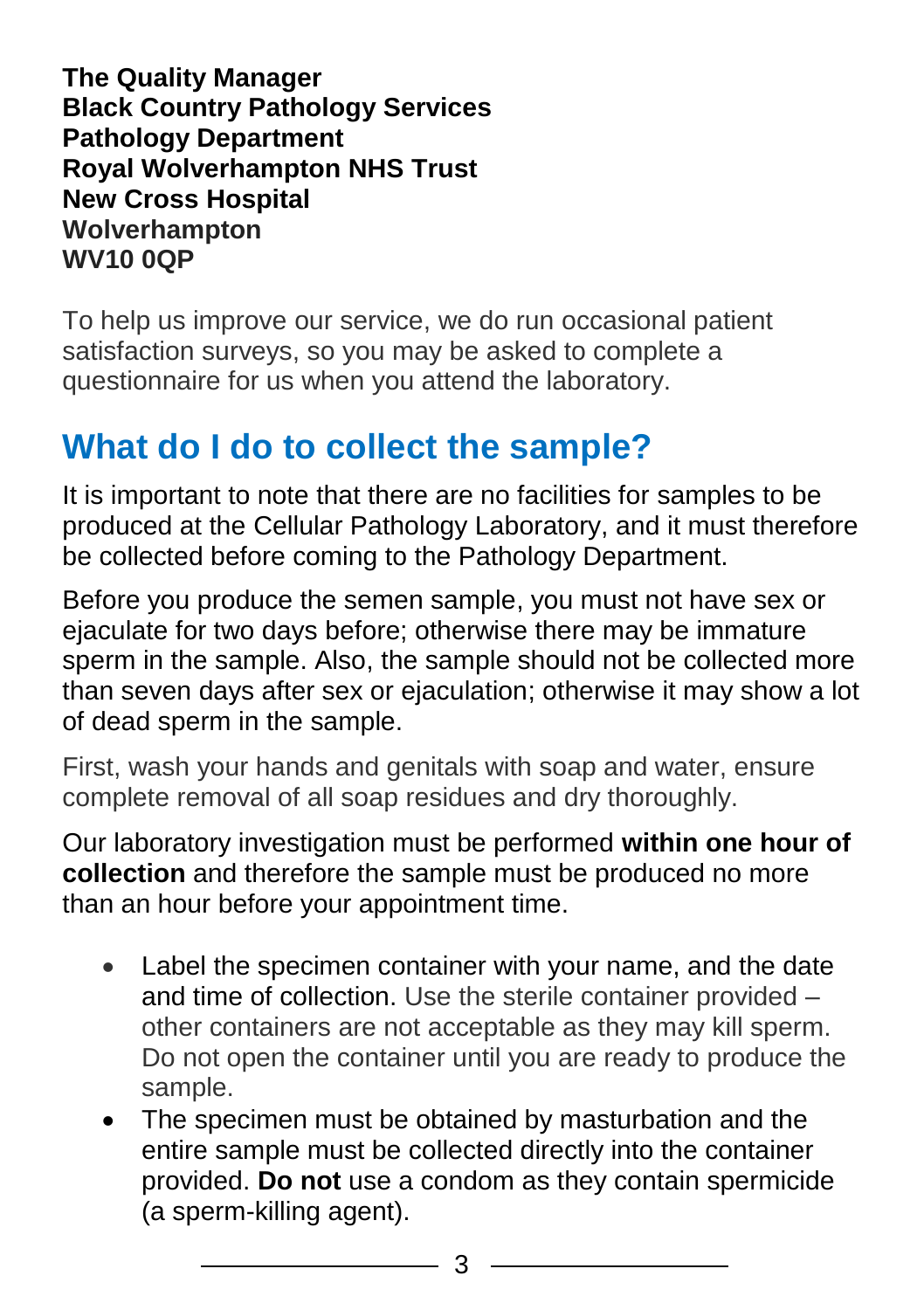**The Quality Manager Black Country Pathology Services Pathology Department Royal Wolverhampton NHS Trust New Cross Hospital Wolverhampton WV10 0QP**

To help us improve our service, we do run occasional patient satisfaction surveys, so you may be asked to complete a questionnaire for us when you attend the laboratory.

## **What do I do to collect the sample?**

It is important to note that there are no facilities for samples to be produced at the Cellular Pathology Laboratory, and it must therefore be collected before coming to the Pathology Department.

Before you produce the semen sample, you must not have sex or ejaculate for two days before; otherwise there may be immature sperm in the sample. Also, the sample should not be collected more than seven days after sex or ejaculation; otherwise it may show a lot of dead sperm in the sample.

First, wash your hands and genitals with soap and water, ensure complete removal of all soap residues and dry thoroughly.

Our laboratory investigation must be performed **within one hour of collection** and therefore the sample must be produced no more than an hour before your appointment time.

- Label the specimen container with your name, and the date and time of collection. Use the sterile container provided – other containers are not acceptable as they may kill sperm. Do not open the container until you are ready to produce the sample.
- The specimen must be obtained by masturbation and the entire sample must be collected directly into the container provided. **Do not** use a condom as they contain spermicide (a sperm-killing agent).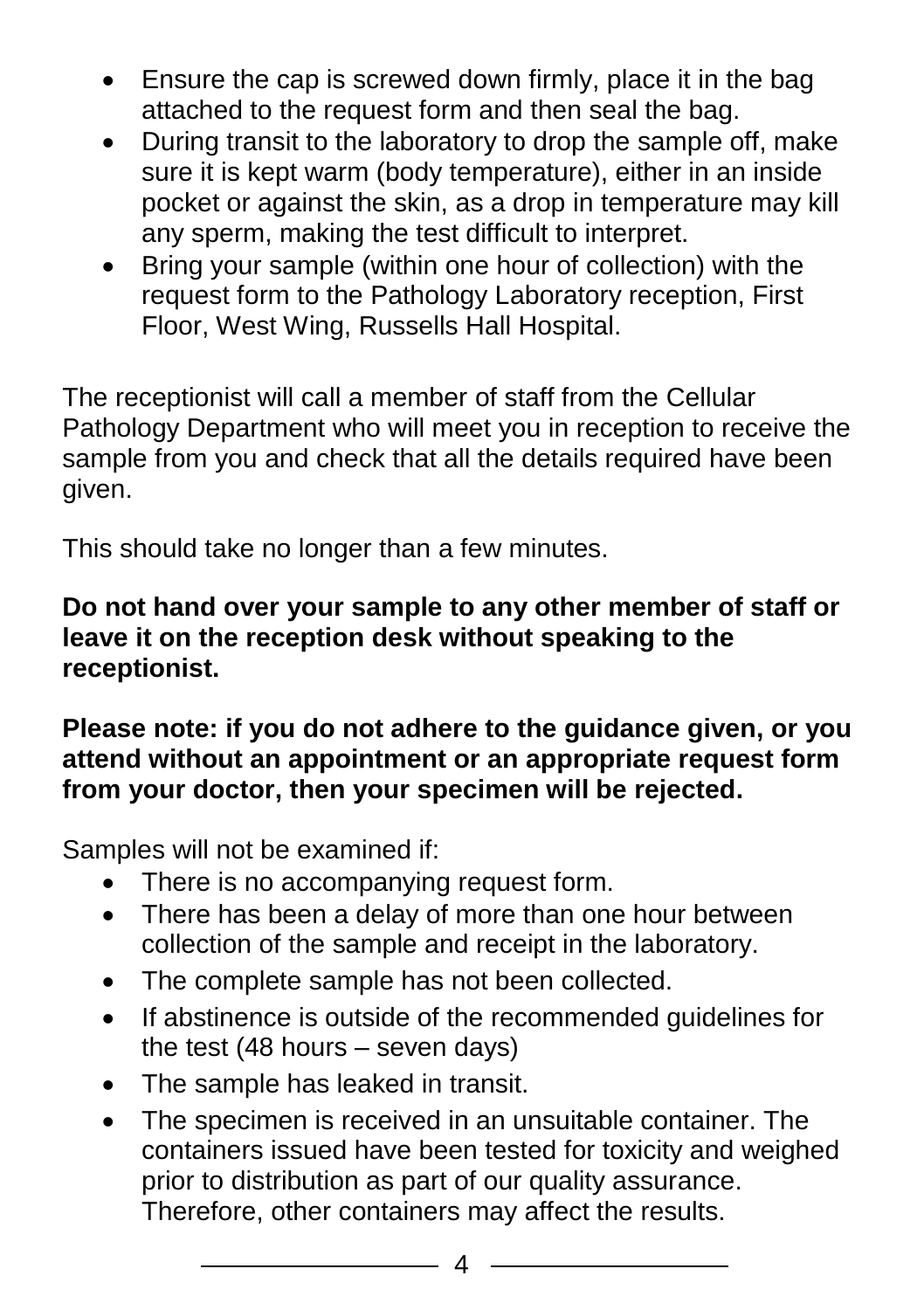- Ensure the cap is screwed down firmly, place it in the bag attached to the request form and then seal the bag.
- During transit to the laboratory to drop the sample off, make sure it is kept warm (body temperature), either in an inside pocket or against the skin, as a drop in temperature may kill any sperm, making the test difficult to interpret.
- Bring your sample (within one hour of collection) with the request form to the Pathology Laboratory reception, First Floor, West Wing, Russells Hall Hospital.

The receptionist will call a member of staff from the Cellular Pathology Department who will meet you in reception to receive the sample from you and check that all the details required have been given.

This should take no longer than a few minutes.

#### **Do not hand over your sample to any other member of staff or leave it on the reception desk without speaking to the receptionist.**

#### **Please note: if you do not adhere to the guidance given, or you attend without an appointment or an appropriate request form from your doctor, then your specimen will be rejected.**

Samples will not be examined if:

- There is no accompanying request form.
- There has been a delay of more than one hour between collection of the sample and receipt in the laboratory.
- The complete sample has not been collected.
- If abstinence is outside of the recommended quidelines for the test (48 hours – seven days)
- The sample has leaked in transit.
- The specimen is received in an unsuitable container. The containers issued have been tested for toxicity and weighed prior to distribution as part of our quality assurance. Therefore, other containers may affect the results.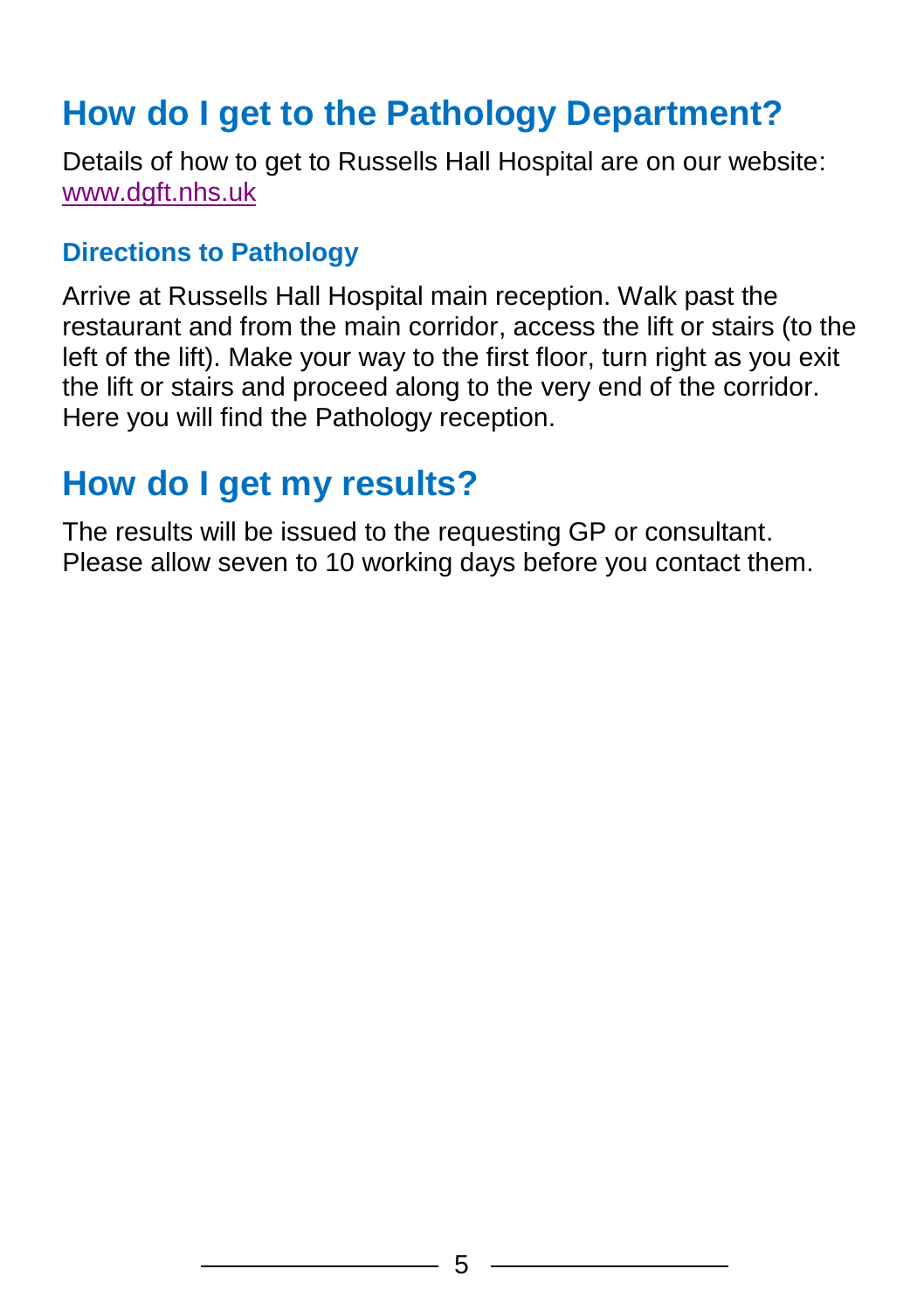## **How do I get to the Pathology Department?**

Details of how to get to Russells Hall Hospital are on our website: [www.dgft.nhs.uk](http://www.dgft.nhs.uk/)

#### **Directions to Pathology**

Arrive at Russells Hall Hospital main reception. Walk past the restaurant and from the main corridor, access the lift or stairs (to the left of the lift). Make your way to the first floor, turn right as you exit the lift or stairs and proceed along to the very end of the corridor. Here you will find the Pathology reception.

### **How do I get my results?**

The results will be issued to the requesting GP or consultant. Please allow seven to 10 working days before you contact them.